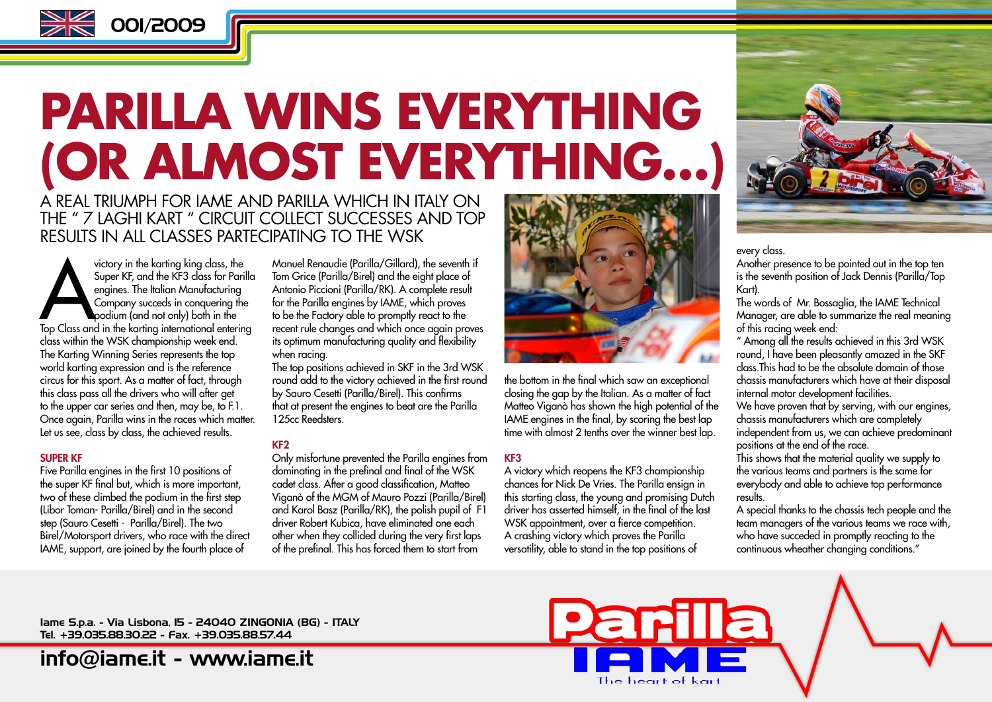

# **PARILLA WINS EVERYTHING (OR ALMOST EVERYTHING…)**

A REAL TRIUMPH FOR IAME AND PARILLA WHICH IN ITALY ON THE " 7 LAGHI KART " CIRCUIT COLLECT SUCCESSES AND TOP RESULTS IN ALL CLASSES PARTECIPATING TO THE WSK

victory in the karting king class, the<br>
Super KF, and the KF3 class for Parilla<br>
engines. The Italian Manufacturing<br>
Company succeds in conquering the<br>
Top Class and in the karting international entering<br>
Top Class and in Super KF, and the KF3 class for Parilla engines. The Italian Manufacturing Company succeds in conquering the podium (and not only) both in the class within the WSK championship week end. The Karting Winning Series represents the top world karting expression and is the reference circus for this sport. As a matter of fact, through this class pass all the drivers who will after get to the upper car series and then, may be, to F.1. Once again, Parilla wins in the races which matter. Let us see, class by class, the achieved results.

#### SUPER KF

Five Parilla engines in the first 10 positions of the super KF final but, which is more important, two of these climbed the podium in the first step (Libor Toman- Parilla/Birel) and in the second step (Sauro Cesetti - Parilla/Birel). The two Birel/Motorsport drivers, who race with the direct IAME, support, are joined by the fourth place of

Manuel Renaudie (Parilla/Gillard), the seventh if Tom Grice (Parilla/Birel) and the eight place of Antonio Piccioni (Parilla/RK). A complete result for the Parilla engines by IAME, which proves to be the Factory able to promptly react to the recent rule changes and which once again proves its optimum manufacturing quality and flexibility when racing.

The top positions achieved in SKF in the 3rd WSK round add to the victory achieved in the first round by Sauro Cesetti (Parilla/Birel). This confirms that at present the engines to beat are the Parilla 125cc Reedsters.

#### KF2

Only misfortune prevented the Parilla engines from dominating in the prefinal and final of the WSK cadet class. After a good classification, Matteo Viganò of the MGM of Mauro Pozzi (Parilla/Birel) and Karol Basz (Parilla/RK), the polish pupil of F1 driver Robert Kubica, have eliminated one each other when they collided during the very first laps of the prefinal. This has forced them to start from



the bottom in the final which saw an exceptional closing the gap by the Italian. As a matter of fact Matteo Viganò has shown the high potential of the IAME engines in the final, by scoring the best lap time with almost 2 tenths over the winner best lap.

#### KF3

A victory which reopens the KF3 championship chances for Nick De Vries. The Parilla ensign in this starting class, the young and promising Dutch driver has asserted himself, in the final of the last WSK appointment, over a fierce competition. A crashing victory which proves the Parilla versatility, able to stand in the top positions of



every class.

Another presence to be pointed out in the top ten is the seventh position of Jack Dennis (Parilla/Top Kart).

The words of Mr. Bossaglia, the IAME Technical Manager, are able to summarize the real meaning of this racing week end:

" Among all the results achieved in this 3rd WSK round, I have been pleasantly amazed in the SKF class.This had to be the absolute domain of those chassis manufacturers which have at their disposal internal motor development facilities.

We have proven that by serving, with our engines, chassis manufacturers which are completely independent from us, we can achieve predominant positions at the end of the race.

This shows that the material quality we supply to the various teams and partners is the same for everybody and able to achieve top performance results.

A special thanks to the chassis tech people and the team managers of the various teams we race with, who have succeded in promptly reacting to the continuous wheather changing conditions."

Iame S.p.a. - Via Lisbona, 15 - 24040 ZINGONIA (BG) - ITALY Tel. +39.035.88.30.22 - Fax. +39.035.88.57.44

info@iame.it - www.iame.it

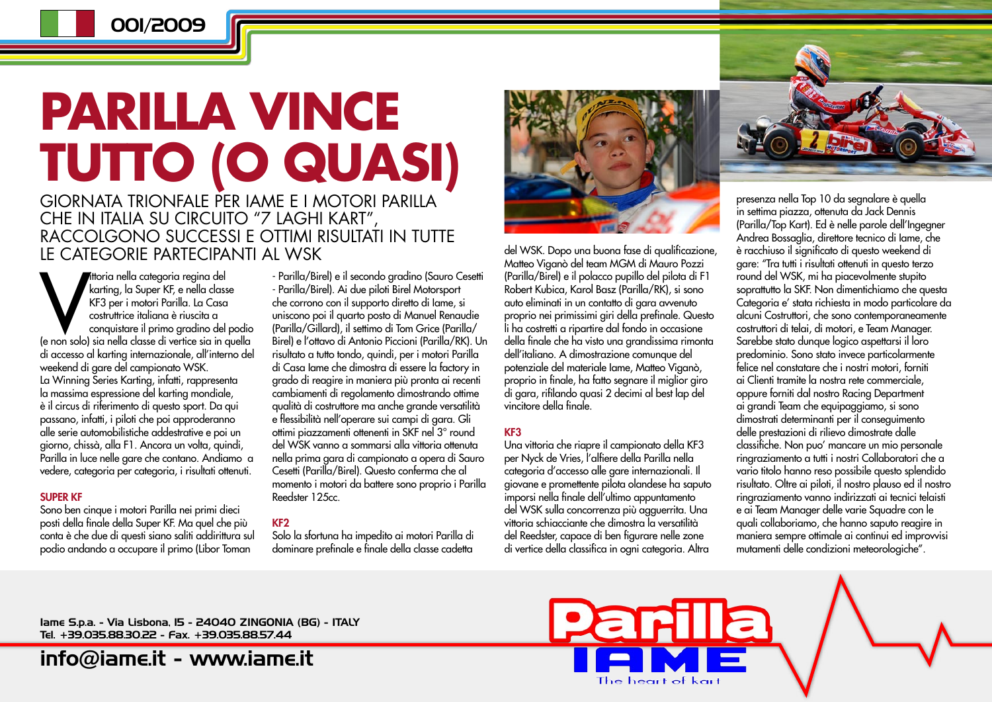## **PARILLA VINCE TUTTO (O QUASI)** GIORNATA TRIONFALE PER IAME E I MOTORI PARILLA

CHE IN ITALIA SU CIRCUITO "7 LAGHI KART", RACCOLGONO SUCCESSI E OTTIMI RISULTATI IN TUTTE LE CATEGORIE PARTECIPANTI AL WSK

Mitoria nella categoria regina del<br>
karting, la Super KF, e nella classe<br>
KF3 per i motori Parilla. La Casa<br>
costruttrice italiana è riuscita a<br>
conquistare il primo gradino del podio<br>
(e non solo) sia nella classe di vert  $\blacksquare$ ittoria nella categoria regina del karting, la Super KF, e nella classe KF3 per i motori Parilla. La Casa costruttrice italiana è riuscita a conquistare il primo gradino del podio di accesso al karting internazionale, all'interno del weekend di gare del campionato WSK. La Winning Series Karting, infatti, rappresenta la massima espressione del karting mondiale, è il circus di riferimento di questo sport. Da qui passano, infatti, i piloti che poi approderanno alle serie automobilistiche addestrative e poi un giorno, chissà, alla F1. Ancora un volta, quindi, Parilla in luce nelle gare che contano. Andiamo a vedere, categoria per categoria, i risultati ottenuti.

#### SUPER KF

Sono ben cinque i motori Parilla nei primi dieci posti della finale della Super KF. Ma quel che più conta è che due di questi siano saliti addirittura sul podio andando a occupare il primo (Libor Toman

- Parilla/Birel) e il secondo gradino (Sauro Cesetti - Parilla/Birel). Ai due piloti Birel Motorsport che corrono con il supporto diretto di Iame, si uniscono poi il quarto posto di Manuel Renaudie (Parilla/Gillard), il settimo di Tom Grice (Parilla/ Birel) e l'ottavo di Antonio Piccioni (Parilla/RK). Un risultato a tutto tondo, quindi, per i motori Parilla di Casa Iame che dimostra di essere la factory in grado di reagire in maniera più pronta ai recenti cambiamenti di regolamento dimostrando ottime qualità di costruttore ma anche grande versatilità e flessibilità nell'operare sui campi di gara. Gli ottimi piazzamenti ottenenti in SKF nel 3° round del WSK vanno a sommarsi alla vittoria ottenuta nella prima gara di campionato a opera di Sauro Cesetti (Parilla/Birel). Questo conferma che al momento i motori da battere sono proprio i Parilla Reedster 125cc.

#### KF2

Solo la sfortuna ha impedito ai motori Parilla di dominare prefinale e finale della classe cadetta



del WSK. Dopo una buona fase di qualificazione, Matteo Viganò del team MGM di Mauro Pozzi (Parilla/Birel) e il polacco pupillo del pilota di F1 Robert Kubica, Karol Basz (Parilla/RK), si sono auto eliminati in un contatto di gara avvenuto proprio nei primissimi giri della prefinale. Questo li ha costretti a ripartire dal fondo in occasione della finale che ha visto una grandissima rimonta dell'italiano. A dimostrazione comunque del potenziale del materiale Iame, Matteo Viganò, proprio in finale, ha fatto segnare il miglior giro di gara, rifilando quasi 2 decimi al best lap del vincitore della finale.

#### KF3

Una vittoria che riapre il campionato della KF3 per Nyck de Vries, l'alfiere della Parilla nella categoria d'accesso alle gare internazionali. Il giovane e promettente pilota olandese ha saputo imporsi nella finale dell'ultimo appuntamento del WSK sulla concorrenza più agguerrita. Una vittoria schiacciante che dimostra la versatilità del Reedster, capace di ben figurare nelle zone di vertice della classifica in ogni categoria. Altra

<u>Parilla</u>

The heart of kart



presenza nella Top 10 da segnalare è quella in settima piazza, ottenuta da Jack Dennis (Parilla/Top Kart). Ed è nelle parole dell'Ingegner Andrea Bossaglia, direttore tecnico di Iame, che è racchiuso il significato di questo weekend di gare: "Tra tutti i risultati ottenuti in questo terzo round del WSK, mi ha piacevolmente stupito soprattutto la SKF. Non dimentichiamo che questa Categoria e' stata richiesta in modo particolare da alcuni Costruttori, che sono contemporaneamente costruttori di telai, di motori, e Team Manager. Sarebbe stato dunque logico aspettarsi il loro predominio. Sono stato invece particolarmente felice nel constatare che i nostri motori, forniti ai Clienti tramite la nostra rete commerciale, oppure forniti dal nostro Racing Department ai grandi Team che equipaggiamo, si sono dimostrati determinanti per il conseguimento delle prestazioni di rilievo dimostrate dalle classifiche. Non puo' mancare un mio personale ringraziamento a tutti i nostri Collaboratori che a vario titolo hanno reso possibile questo splendido risultato. Oltre ai piloti, il nostro plauso ed il nostro ringraziamento vanno indirizzati ai tecnici telaisti e ai Team Manager delle varie Squadre con le quali collaboriamo, che hanno saputo reagire in maniera sempre ottimale ai continui ed improvvisi mutamenti delle condizioni meteorologiche".

Iame S.p.a. - Via Lisbona, 15 - 24040 ZINGONIA (BG) - ITALY Tel. +39.035.88.30.22 - Fax. +39.035.88.57.44

info@iame.it - www.iame.it